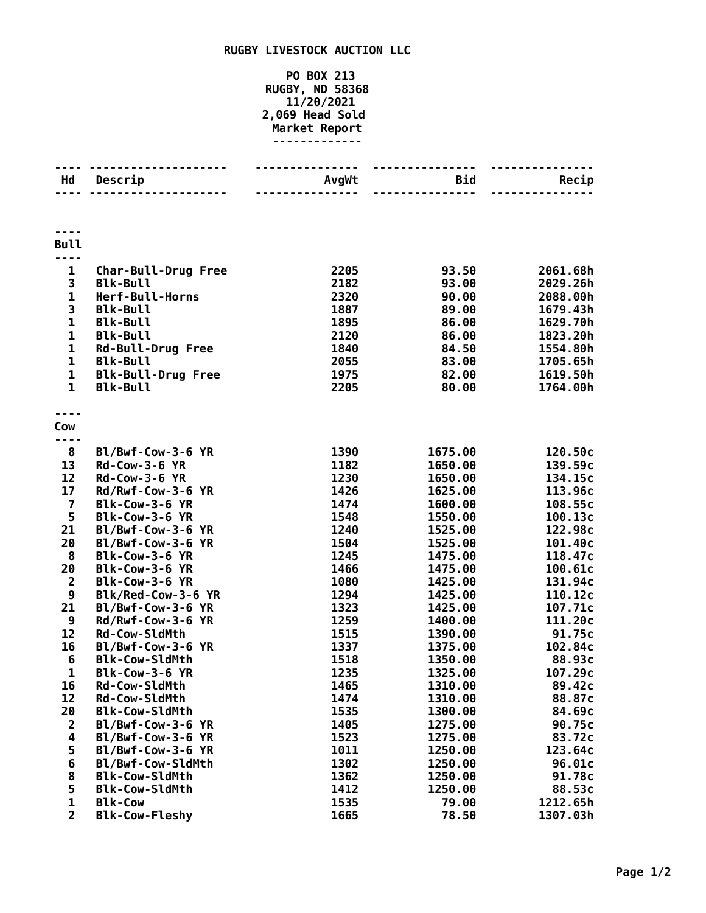## **RUGBY LIVESTOCK AUCTION LLC**

## **PO BOX 213 RUGBY, ND 58368 11/20/2021 2,069 Head Sold Market Report -------------**

| Hd                          | Descrip                                      | <b>AvgWt</b> | Bid<br>$- - - - - -$ | Recip                |
|-----------------------------|----------------------------------------------|--------------|----------------------|----------------------|
|                             |                                              |              |                      |                      |
| <b>Bull</b>                 |                                              |              |                      |                      |
| $\mathbf{1}$                | <b>Char-Bull-Drug Free</b>                   | 2205         | 93.50                | 2061.68h             |
| 3                           | <b>Blk-Bull</b>                              | 2182         | 93.00                | 2029.26h             |
| $\mathbf{1}$                | Herf-Bull-Horns                              | 2320         | 90.00                | 2088.00h             |
| 3                           | <b>Blk-Bull</b>                              | 1887         | 89.00                | 1679.43h             |
| $\mathbf{1}$                | <b>Blk-Bull</b>                              | 1895         | 86.00                | 1629.70h             |
| $\mathbf{1}$                | <b>Blk-Bull</b>                              | 2120         | 86.00                | 1823.20h             |
| 1                           | <b>Rd-Bull-Drug Free</b>                     | 1840         | 84.50                | 1554.80h             |
| $\mathbf{1}$<br>$\mathbf 1$ | <b>Blk-Bull</b>                              | 2055<br>1975 | 83.00<br>82.00       | 1705.65h<br>1619.50h |
| $\mathbf{1}$                | <b>Blk-Bull-Drug Free</b><br><b>Blk-Bull</b> | 2205         | 80.00                | 1764.00h             |
|                             |                                              |              |                      |                      |
| Cow                         |                                              |              |                      |                      |
|                             |                                              |              |                      |                      |
| 8                           | Bl/Bwf-Cow-3-6 YR                            | 1390         | 1675.00              | 120.50c              |
| 13                          | <b>Rd-Cow-3-6 YR</b>                         | 1182         | 1650.00              | 139.59c              |
| 12                          | <b>Rd-Cow-3-6 YR</b>                         | 1230         | 1650.00              | 134.15c              |
| 17                          | Rd/Rwf-Cow-3-6 YR                            | 1426         | 1625.00              | 113.96c              |
| $\overline{\mathbf{z}}$     | Blk-Cow-3-6 YR                               | 1474         | 1600.00              | 108.55c              |
| 5                           | Blk-Cow-3-6 YR                               | 1548         | 1550.00              | 100.13c              |
| 21                          | Bl/Bwf-Cow-3-6 YR                            | 1240         | 1525.00              | 122.98c              |
| 20                          | Bl/Bwf-Cow-3-6 YR                            | 1504         | 1525.00              | 101.40c              |
| 8                           | Blk-Cow-3-6 YR                               | 1245         | 1475.00              | 118.47c              |
| 20                          | Blk-Cow-3-6 YR                               | 1466         | 1475.00              | 100.61c              |
| $\overline{2}$              | Blk-Cow-3-6 YR                               | 1080         | 1425.00              | 131.94c              |
| 9                           | Blk/Red-Cow-3-6 YR                           | 1294         | 1425.00              | 110.12c              |
| 21                          | Bl/Bwf-Cow-3-6 YR                            | 1323         | 1425.00              | 107.71c              |
| 9<br>12                     | Rd/Rwf-Cow-3-6 YR                            | 1259         | 1400.00              | 111.20c              |
| 16                          | <b>Rd-Cow-SldMth</b><br>Bl/Bwf-Cow-3-6 YR    | 1515<br>1337 | 1390.00<br>1375.00   | 91.75c<br>102.84c    |
| 6                           | <b>Blk-Cow-SldMth</b>                        | 1518         | 1350.00              | 88.93c               |
| 1                           | Blk-Cow-3-6 YR                               | 1235         | 1325.00              | 107.29c              |
| 16                          | Rd-Cow-SldMth                                | 1465         | 1310.00              | 89.42c               |
| 12                          | <b>Rd-Cow-SldMth</b>                         | 1474         | 1310.00              | 88.87c               |
| 20                          | <b>Blk-Cow-SldMth</b>                        | 1535         | 1300.00              | 84.69c               |
| $\overline{2}$              | Bl/Bwf-Cow-3-6 YR                            | 1405         | 1275.00              | 90.75c               |
| 4                           | Bl/Bwf-Cow-3-6 YR                            | 1523         | 1275.00              | 83.72c               |
| 5                           | Bl/Bwf-Cow-3-6 YR                            | 1011         | 1250.00              | 123.64c              |
| 6                           | Bl/Bwf-Cow-SldMth                            | 1302         | 1250.00              | 96.01c               |
| 8                           | <b>Blk-Cow-SldMth</b>                        | 1362         | 1250.00              | 91.78c               |
| 5                           | <b>Blk-Cow-SldMth</b>                        | 1412         | 1250.00              | 88.53c               |
| $\mathbf 1$                 | <b>Blk-Cow</b>                               | 1535         | 79.00                | 1212.65h             |
| $\overline{2}$              | <b>Blk-Cow-Fleshy</b>                        | 1665         | 78.50                | 1307.03h             |